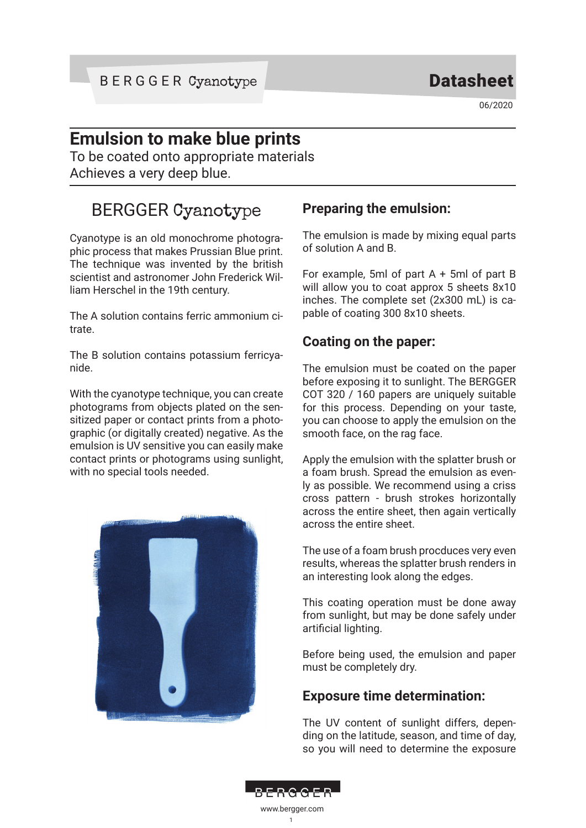06/2020

## **Emulsion to make blue prints**

To be coated onto appropriate materials Achieves a very deep blue.

# BERGGER Cyanotype

Cyanotype is an old monochrome photographic process that makes Prussian Blue print. The technique was invented by the british scientist and astronomer John Frederick William Herschel in the 19th century.

The A solution contains ferric ammonium citrate.

The B solution contains potassium ferricyanide.

With the cyanotype technique, you can create photograms from objects plated on the sensitized paper or contact prints from a photographic (or digitally created) negative. As the emulsion is UV sensitive you can easily make contact prints or photograms using sunlight, with no special tools needed.



### **Preparing the emulsion:**

The emulsion is made by mixing equal parts of solution A and B.

For example, 5ml of part A + 5ml of part B will allow you to coat approx 5 sheets 8x10 inches. The complete set (2x300 mL) is capable of coating 300 8x10 sheets.

#### **Coating on the paper:**

The emulsion must be coated on the paper before exposing it to sunlight. The BERGGER COT 320 / 160 papers are uniquely suitable for this process. Depending on your taste, you can choose to apply the emulsion on the smooth face, on the rag face.

Apply the emulsion with the splatter brush or a foam brush. Spread the emulsion as evenly as possible. We recommend using a criss cross pattern - brush strokes horizontally across the entire sheet, then again vertically across the entire sheet.

The use of a foam brush procduces very even results, whereas the splatter brush renders in an interesting look along the edges.

This coating operation must be done away from sunlight, but may be done safely under artificial lighting.

Before being used, the emulsion and paper must be completely dry.

#### **Exposure time determination:**

The UV content of sunlight differs, depending on the latitude, season, and time of day, so you will need to determine the exposure



1